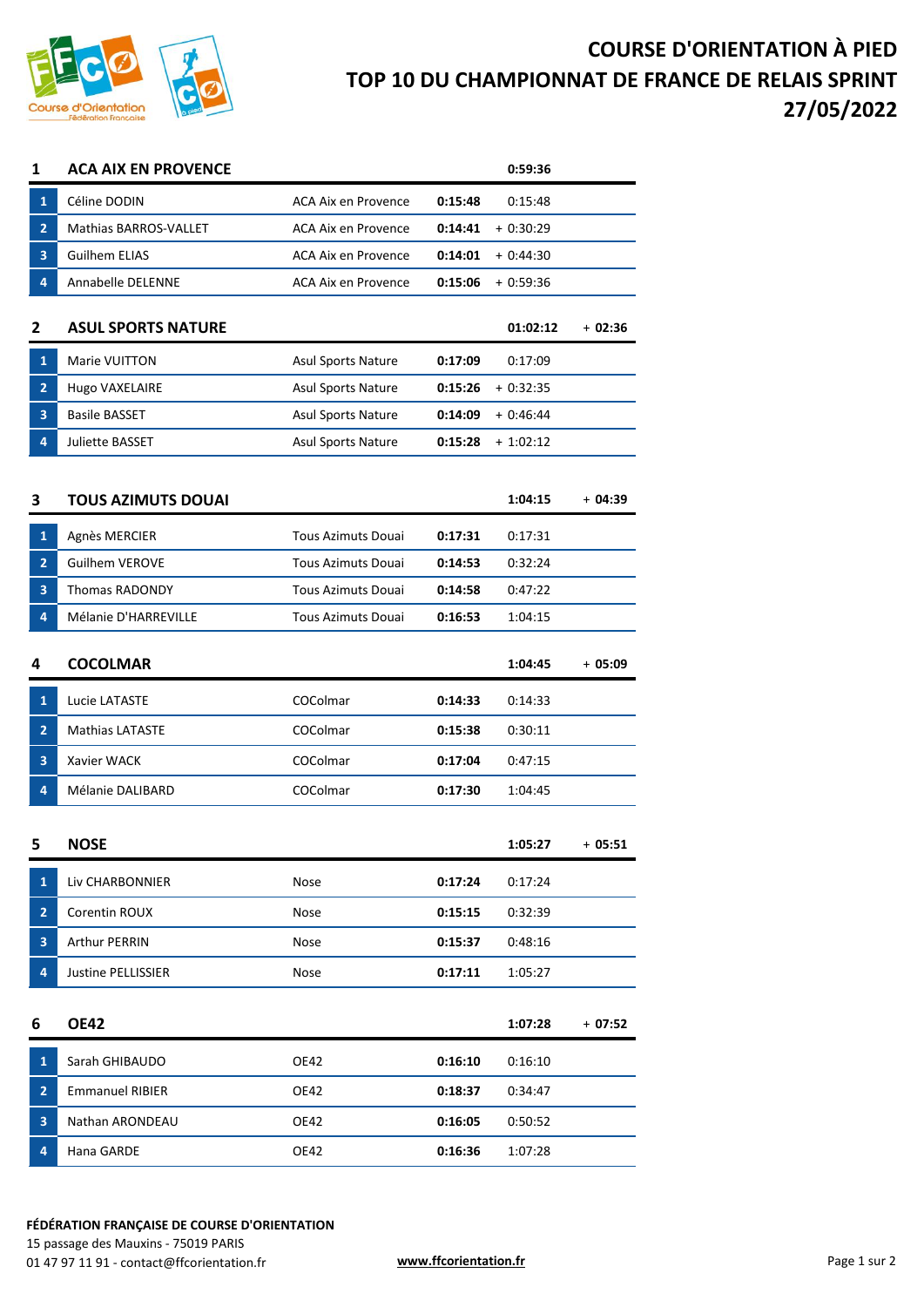

## **COURSE D'ORIENTATION À PIED TOP 10 DU CHAMPIONNAT DE FRANCE DE RELAIS SPRINT 27/05/2022**

| 1              | <b>ACA AIX EN PROVENCE</b> |                            |         | 0:59:36    |          |
|----------------|----------------------------|----------------------------|---------|------------|----------|
| $\mathbf{1}$   | Céline DODIN               | ACA Aix en Provence        | 0:15:48 | 0:15:48    |          |
| $\overline{2}$ | Mathias BARROS-VALLET      | ACA Aix en Provence        | 0:14:41 | $+0:30:29$ |          |
| 3              | <b>Guilhem ELIAS</b>       | <b>ACA Aix en Provence</b> | 0:14:01 | $+0:44:30$ |          |
| 4              | Annabelle DELENNE          | ACA Aix en Provence        | 0:15:06 | $+0:59:36$ |          |
| 2              | <b>ASUL SPORTS NATURE</b>  |                            |         | 01:02:12   | $+02:36$ |
| $\mathbf{1}$   | Marie VUITTON              | <b>Asul Sports Nature</b>  | 0:17:09 | 0:17:09    |          |
| $\overline{2}$ | Hugo VAXELAIRE             | <b>Asul Sports Nature</b>  | 0:15:26 | $+0:32:35$ |          |
| 3              | <b>Basile BASSET</b>       | Asul Sports Nature         | 0:14:09 | $+0:46:44$ |          |
| 4              | Juliette BASSET            | Asul Sports Nature         | 0:15:28 | $+1:02:12$ |          |
|                |                            |                            |         |            |          |
| 3              | <b>TOUS AZIMUTS DOUAI</b>  |                            |         | 1:04:15    | $+04:39$ |
| $\mathbf{1}$   | Agnès MERCIER              | <b>Tous Azimuts Douai</b>  | 0:17:31 | 0:17:31    |          |
| $\overline{2}$ | <b>Guilhem VEROVE</b>      | <b>Tous Azimuts Douai</b>  | 0:14:53 | 0:32:24    |          |
| 3              | <b>Thomas RADONDY</b>      | <b>Tous Azimuts Douai</b>  | 0:14:58 | 0:47:22    |          |
| 4              | Mélanie D'HARREVILLE       | <b>Tous Azimuts Douai</b>  | 0:16:53 | 1:04:15    |          |
| 4              | <b>COCOLMAR</b>            |                            |         | 1:04:45    | + 05:09  |
| $\mathbf{1}$   | Lucie LATASTE              | COColmar                   | 0:14:33 | 0:14:33    |          |
| $\overline{2}$ | <b>Mathias LATASTE</b>     | COColmar                   | 0:15:38 | 0:30:11    |          |
| 3              | Xavier WACK                | COColmar                   | 0:17:04 | 0:47:15    |          |
| 4              | Mélanie DALIBARD           | COColmar                   | 0:17:30 | 1:04:45    |          |
| 5              | <b>NOSE</b>                |                            |         | 1:05:27    | $+05:51$ |
| $\mathbf{1}$   | Liv CHARBONNIER            | Nose                       | 0:17:24 | 0:17:24    |          |
| 2              | Corentin ROUX              | Nose                       | 0:15:15 | 0:32:39    |          |
| 3              | Arthur PERRIN              | Nose                       | 0:15:37 | 0:48:16    |          |
| 4              | Justine PELLISSIER         | Nose                       | 0:17:11 | 1:05:27    |          |
| 6              | <b>OE42</b>                |                            |         | 1:07:28    | + 07:52  |
| $\mathbf{1}$   | Sarah GHIBAUDO             | <b>OE42</b>                | 0:16:10 | 0:16:10    |          |
| $\mathbf{2}$   | <b>Emmanuel RIBIER</b>     | OE42                       | 0:18:37 | 0:34:47    |          |
| 3              | Nathan ARONDEAU            | OE42                       | 0:16:05 | 0:50:52    |          |
| 4              | Hana GARDE                 | <b>OE42</b>                | 0:16:36 | 1:07:28    |          |

## **FÉDÉRATION FRANÇAISE DE COURSE D'ORIENTATION**

15 passage des Mauxins - 75019 PARIS 01 47 97 11 91 - contact@ffcorientation.fr **www.ffcorientation.fr www.ffcorientation.fr** Page 1 sur 2